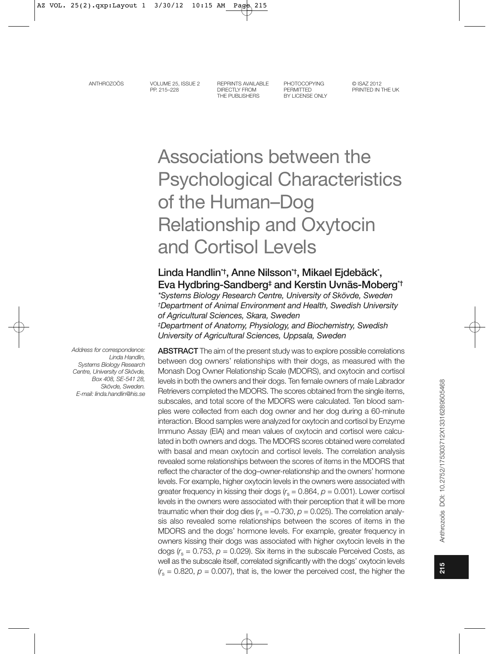VOLUME 25, ISSUE 2 PP 215-228

REPRINTS AVAILABLE **DIRECTLY FROM** THE PUBLISHERS

**PHOTOCOPYING** PERMITTED BY LICENSE ONLY

@ ISA7 2012 PRINTED IN THE LIK

# Associations between the **Psychological Characteristics** of the Human-Dog **Relationship and Oxytocin** and Cortisol Levels

# Linda Handlin<sup>\*†</sup>, Anne Nilsson<sup>\*†</sup>, Mikael Ejdebäck<sup>\*</sup>, Eva Hydbring-Sandberg<sup>#</sup> and Kerstin Uvnäs-Moberg<sup>\*†</sup>

\*Systems Biology Research Centre, University of Skövde, Sweden <sup>†</sup>Department of Animal Environment and Health, Swedish University of Agricultural Sciences, Skara, Sweden *‡Department of Anatomy, Physiology, and Biochemistry, Swedish* University of Agricultural Sciences, Uppsala, Sweden

Address for correspondence: Linda Handlin, Systems Biology Research Centre, University of Skövde, Box 408, SE-541 28, Skövde, Sweden. F-mail: linda.handlin@his.se **ABSTRACT** The aim of the present study was to explore possible correlations between dog owners' relationships with their dogs, as measured with the Monash Dog Owner Relationship Scale (MDORS), and oxytocin and cortisol levels in both the owners and their dogs. Ten female owners of male Labrador Retrievers completed the MDORS. The scores obtained from the single items, subscales, and total score of the MDORS were calculated. Ten blood samples were collected from each dog owner and her dog during a 60-minute interaction. Blood samples were analyzed for oxytocin and cortisol by Enzyme Immuno Assay (EIA) and mean values of oxytocin and cortisol were calculated in both owners and dogs. The MDORS scores obtained were correlated with basal and mean oxytocin and cortisol levels. The correlation analysis revealed some relationships between the scores of items in the MDORS that reflect the character of the dog-owner-relationship and the owners' hormone levels. For example, higher oxytocin levels in the owners were associated with greater frequency in kissing their dogs  $(r_s = 0.864, p = 0.001)$ . Lower cortisol levels in the owners were associated with their perception that it will be more traumatic when their dog dies  $(r_s = -0.730, p = 0.025)$ . The correlation analysis also revealed some relationships between the scores of items in the MDORS and the dogs' hormone levels. For example, greater frequency in owners kissing their dogs was associated with higher oxytocin levels in the dogs ( $r_s$  = 0.753,  $p$  = 0.029). Six items in the subscale Perceived Costs, as well as the subscale itself, correlated significantly with the dogs' oxytocin levels  $(r_s = 0.820, p = 0.007)$ , that is, the lower the perceived cost, the higher the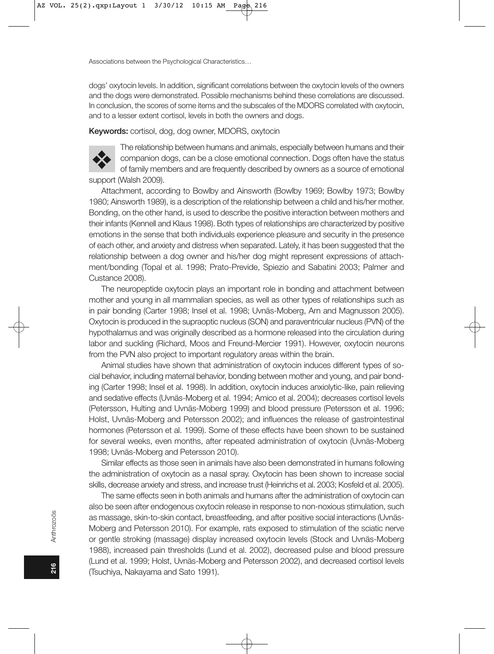dogs' oxytocin levels. In addition, significant correlations between the oxytocin levels of the owners and the dogs were demonstrated. Possible mechanisms behind these correlations are discussed. In conclusion, the scores of some items and the subscales of the MDORS correlated with oxytocin, and to a lesser extent cortisol, levels in both the owners and dogs.

Keywords: cortisol, dog, dog owner, MDORS, oxytocin



The relationship between humans and animals, especially between humans and their companion dogs, can be a close emotional connection. Dogs often have the status of family members and are frequently described by owners as a source of emotional support (Walsh 2009).

Attachment, according to Bowlby and Ainsworth (Bowlby 1969; Bowlby 1973; Bowlby 1980; Ainsworth 1989), is a description of the relationship between a child and his/her mother. Bonding, on the other hand, is used to describe the positive interaction between mothers and their infants (Kennell and Klaus 1998). Both types of relationships are characterized by positive emotions in the sense that both individuals experience pleasure and security in the presence of each other, and anxiety and distress when separated. Lately, it has been suggested that the relationship between a dog owner and his/her dog might represent expressions of attachment/bonding (Topal et al. 1998; Prato-Previde, Spiezio and Sabatini 2003; Palmer and Custance 2008).

The neuropeptide oxytocin plays an important role in bonding and attachment between mother and young in all mammalian species, as well as other types of relationships such as in pair bonding (Carter 1998; Insel et al. 1998; Uvnäs-Moberg, Arn and Magnusson 2005). Oxytocin is produced in the supraoptic nucleus (SON) and paraventricular nucleus (PVN) of the hypothalamus and was originally described as a hormone released into the circulation during labor and suckling (Richard, Moos and Freund-Mercier 1991). However, oxytocin neurons from the PVN also project to important regulatory areas within the brain.

Animal studies have shown that administration of oxytocin induces different types of social behavior, including maternal behavior, bonding between mother and young, and pair bonding (Carter 1998; Insel et al. 1998). In addition, oxytocin induces anxiolytic-like, pain relieving and sedative effects (Uvnäs-Moberg et al. 1994; Amico et al. 2004); decreases cortisol levels (Petersson, Hulting and Uvnäs-Moberg 1999) and blood pressure (Petersson et al. 1996; Holst, Uvnäs-Moberg and Petersson 2002); and influences the release of gastrointestinal hormones (Petersson et al. 1999). Some of these effects have been shown to be sustained for several weeks, even months, after repeated administration of oxytocin (Uvnäs-Moberg 1998; Uvnäs-Moberg and Petersson 2010).

Similar effects as those seen in animals have also been demonstrated in humans following the administration of oxytocin as a nasal spray. Oxytocin has been shown to increase social skills, decrease anxiety and stress, and increase trust (Heinrichs et al. 2003; Kosfeld et al. 2005).

The same effects seen in both animals and humans after the administration of oxytocin can also be seen after endogenous oxytocin release in response to non-noxious stimulation, such as massage, skin-to-skin contact, breastfeeding, and after positive social interactions (Uvnäs-Moberg and Petersson 2010). For example, rats exposed to stimulation of the sciatic nerve or gentle stroking (massage) display increased oxytocin levels (Stock and Uvnäs-Moberg 1988), increased pain thresholds (Lund et al. 2002), decreased pulse and blood pressure (Lund et al. 1999; Holst, Uvnäs-Moberg and Petersson 2002), and decreased cortisol levels (Tsuchiya, Nakayama and Sato 1991).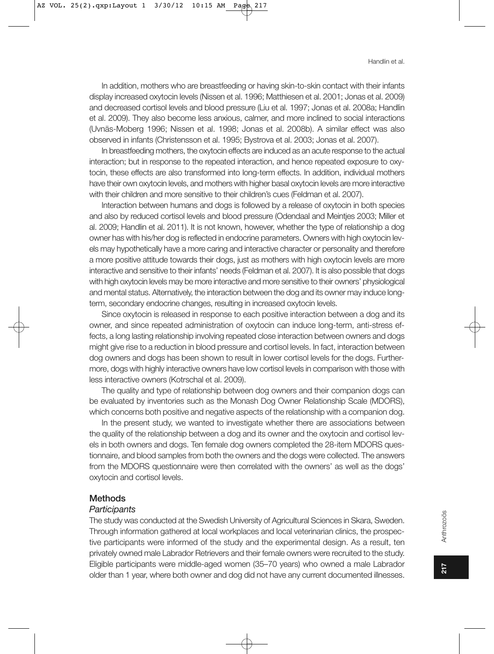In addition, mothers who are breastfeeding or having skin-to-skin contact with their infants display increased oxytocin levels (Nissen et al. 1996; Matthiesen et al. 2001; Jonas et al. 2009) and decreased cortisol levels and blood pressure (Liu et al. 1997; Jonas et al. 2008a; Handlin et al. 2009). They also become less anxious, calmer, and more inclined to social interactions (Uvnäs-Moberg 1996; Nissen et al. 1998; Jonas et al. 2008b). A similar effect was also observed in infants (Christensson et al. 1995; Bystrova et al. 2003; Jonas et al. 2007).

In breastfeeding mothers, the oxytocin effects are induced as an acute response to the actual interaction; but in response to the repeated interaction, and hence repeated exposure to oxytocin, these effects are also transformed into long-term effects. In addition, individual mothers have their own oxytocin levels, and mothers with higher basal oxytocin levels are more interactive with their children and more sensitive to their children's cues (Feldman et al. 2007).

Interaction between humans and dogs is followed by a release of oxytocin in both species and also by reduced cortisol levels and blood pressure (Odendaal and Meinties 2003; Miller et al. 2009; Handlin et al. 2011). It is not known, however, whether the type of relationship a dog owner has with his/her dog is reflected in endocrine parameters. Owners with high oxytocin levels may hypothetically have a more caring and interactive character or personality and therefore a more positive attitude towards their dogs, just as mothers with high oxytocin levels are more interactive and sensitive to their infants' needs (Feldman et al. 2007). It is also possible that dogs with high oxytocin levels may be more interactive and more sensitive to their owners' physiological and mental status. Alternatively, the interaction between the dog and its owner may induce longterm, secondary endocrine changes, resulting in increased oxytocin levels.

Since oxytocin is released in response to each positive interaction between a dog and its owner, and since repeated administration of oxytocin can induce long-term, anti-stress effects, a long lasting relationship involving repeated close interaction between owners and dogs might give rise to a reduction in blood pressure and cortisol levels. In fact, interaction between dog owners and dogs has been shown to result in lower cortisol levels for the dogs. Furthermore, dogs with highly interactive owners have low cortisol levels in comparison with those with less interactive owners (Kotrschal et al. 2009).

The quality and type of relationship between dog owners and their companion dogs can be evaluated by inventories such as the Monash Dog Owner Relationship Scale (MDORS), which concerns both positive and negative aspects of the relationship with a companion dog.

In the present study, we wanted to investigate whether there are associations between the quality of the relationship between a dog and its owner and the oxytocin and cortisol levels in both owners and dogs. Ten female dog owners completed the 28-item MDORS questionnaire, and blood samples from both the owners and the dogs were collected. The answers from the MDORS questionnaire were then correlated with the owners' as well as the dogs' oxytocin and cortisol levels.

#### **Methods**

#### Participants

The study was conducted at the Swedish University of Agricultural Sciences in Skara, Sweden. Through information gathered at local workplaces and local veterinarian clinics, the prospective participants were informed of the study and the experimental design. As a result, ten privately owned male Labrador Retrievers and their female owners were recruited to the study. Eligible participants were middle-aged women (35–70 years) who owned a male Labrador older than 1 year, where both owner and dog did not have any current documented illnesses.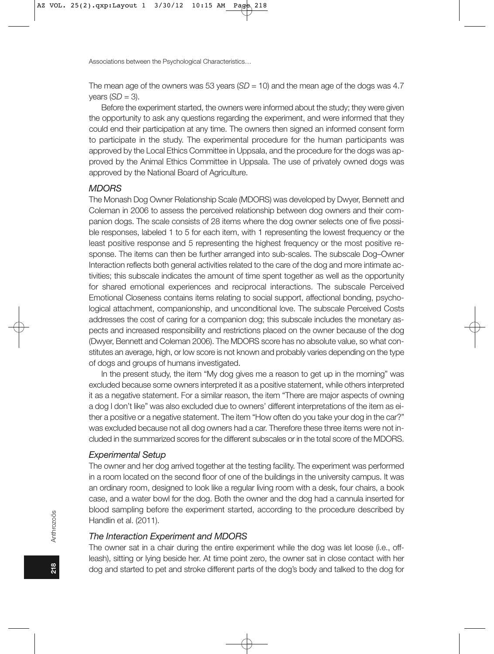The mean age of the owners was 53 years  $(SD = 10)$  and the mean age of the dogs was 4.7 years  $(SD = 3)$ .

Before the experiment started, the owners were informed about the study; they were given the opportunity to ask any questions regarding the experiment, and were informed that they could end their participation at any time. The owners then signed an informed consent form to participate in the study. The experimental procedure for the human participants was approved by the Local Ethics Committee in Uppsala, and the procedure for the dogs was approved by the Animal Ethics Committee in Uppsala. The use of privately owned dogs was approved by the National Board of Agriculture.

### **MDORS**

The Monash Dog Owner Relationship Scale (MDORS) was developed by Dwyer, Bennett and Coleman in 2006 to assess the perceived relationship between dog owners and their companion dogs. The scale consists of 28 items where the dog owner selects one of five possible responses, labeled 1 to 5 for each item, with 1 representing the lowest frequency or the least positive response and 5 representing the highest frequency or the most positive response. The items can then be further arranged into sub-scales. The subscale Dog-Owner Interaction reflects both general activities related to the care of the dog and more intimate activities; this subscale indicates the amount of time spent together as well as the opportunity for shared emotional experiences and reciprocal interactions. The subscale Perceived Emotional Closeness contains items relating to social support, affectional bonding, psychological attachment, companionship, and unconditional love. The subscale Perceived Costs addresses the cost of caring for a companion dog; this subscale includes the monetary aspects and increased responsibility and restrictions placed on the owner because of the dog (Dwyer, Bennett and Coleman 2006). The MDORS score has no absolute value, so what constitutes an average, high, or low score is not known and probably varies depending on the type of dogs and groups of humans investigated.

In the present study, the item "My dog gives me a reason to get up in the morning" was excluded because some owners interpreted it as a positive statement, while others interpreted it as a negative statement. For a similar reason, the item "There are major aspects of owning a dog I don't like" was also excluded due to owners' different interpretations of the item as either a positive or a negative statement. The item "How often do you take your dog in the car?" was excluded because not all dog owners had a car. Therefore these three items were not included in the summarized scores for the different subscales or in the total score of the MDORS.

#### **Experimental Setup**

The owner and her dog arrived together at the testing facility. The experiment was performed in a room located on the second floor of one of the buildings in the university campus. It was an ordinary room, designed to look like a regular living room with a desk, four chairs, a book case, and a water bowl for the dog. Both the owner and the dog had a cannula inserted for blood sampling before the experiment started, according to the procedure described by Handlin et al. (2011).

#### The Interaction Experiment and MDORS

The owner sat in a chair during the entire experiment while the dog was let loose (i.e., offleash), sitting or lying beside her. At time point zero, the owner sat in close contact with her dog and started to pet and stroke different parts of the dog's body and talked to the dog for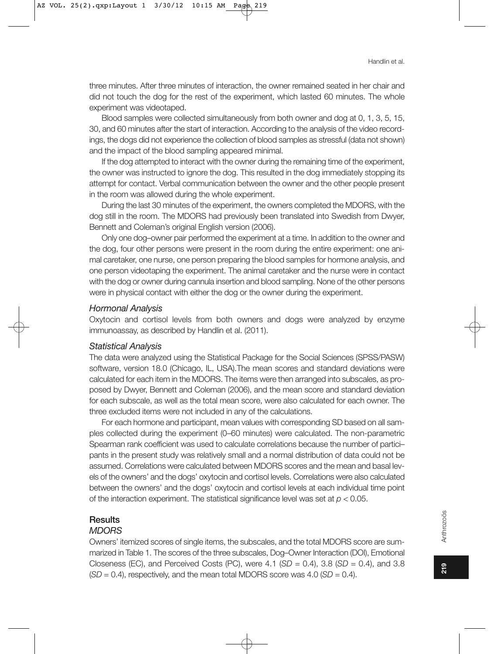three minutes. After three minutes of interaction, the owner remained seated in her chair and did not touch the dog for the rest of the experiment, which lasted 60 minutes. The whole experiment was videotaped.

Blood samples were collected simultaneously from both owner and dog at 0, 1, 3, 5, 15, 30, and 60 minutes after the start of interaction. According to the analysis of the video recordings, the dogs did not experience the collection of blood samples as stressful (data not shown) and the impact of the blood sampling appeared minimal.

If the dog attempted to interact with the owner during the remaining time of the experiment, the owner was instructed to ignore the dog. This resulted in the dog immediately stopping its attempt for contact. Verbal communication between the owner and the other people present in the room was allowed during the whole experiment.

During the last 30 minutes of the experiment, the owners completed the MDORS, with the dog still in the room. The MDORS had previously been translated into Swedish from Dwyer, Bennett and Coleman's original English version (2006).

Only one dog-owner pair performed the experiment at a time. In addition to the owner and the dog, four other persons were present in the room during the entire experiment: one animal caretaker, one nurse, one person preparing the blood samples for hormone analysis, and one person videotaping the experiment. The animal caretaker and the nurse were in contact with the dog or owner during cannula insertion and blood sampling. None of the other persons were in physical contact with either the dog or the owner during the experiment.

#### **Hormonal Analysis**

Oxytocin and cortisol levels from both owners and dogs were analyzed by enzyme immunoassay, as described by Handlin et al. (2011).

#### **Statistical Analysis**

The data were analyzed using the Statistical Package for the Social Sciences (SPSS/PASW) software, version 18.0 (Chicago, IL, USA). The mean scores and standard deviations were calculated for each item in the MDORS. The items were then arranged into subscales, as proposed by Dwyer, Bennett and Coleman (2006), and the mean score and standard deviation for each subscale, as well as the total mean score, were also calculated for each owner. The three excluded items were not included in any of the calculations.

For each hormone and participant, mean values with corresponding SD based on all samples collected during the experiment (0-60 minutes) were calculated. The non-parametric Spearman rank coefficient was used to calculate correlations because the number of participants in the present study was relatively small and a normal distribution of data could not be assumed. Correlations were calculated between MDORS scores and the mean and basal levels of the owners' and the dogs' oxytocin and cortisol levels. Correlations were also calculated between the owners' and the dogs' oxytocin and cortisol levels at each individual time point of the interaction experiment. The statistical significance level was set at  $p < 0.05$ .

#### **Results**

#### **MDORS**

Owners' itemized scores of single items, the subscales, and the total MDORS score are summarized in Table 1. The scores of the three subscales, Dog-Owner Interaction (DOI), Emotional Closeness (EC), and Perceived Costs (PC), were 4.1 (SD = 0.4), 3.8 (SD = 0.4), and 3.8  $(SD = 0.4)$ , respectively, and the mean total MDORS score was 4.0 (SD = 0.4).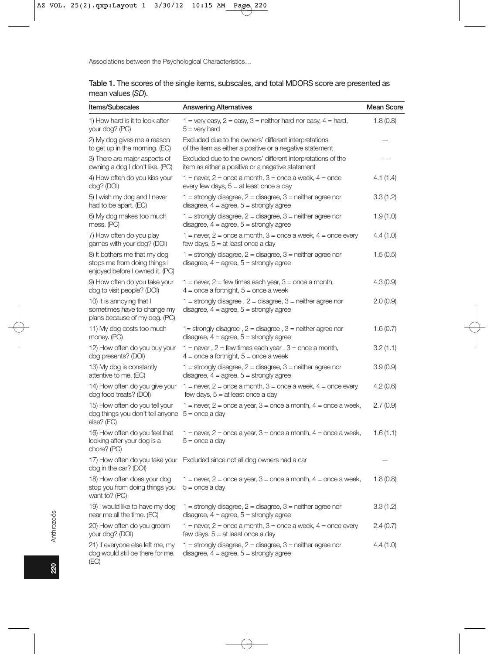| <b>Items/Subscales</b>                                                                          | <b>Answering Alternatives</b>                                                                                                  | <b>Mean Score</b> |
|-------------------------------------------------------------------------------------------------|--------------------------------------------------------------------------------------------------------------------------------|-------------------|
| 1) How hard is it to look after<br>your dog? (PC)                                               | 1 = very easy, 2 = easy, 3 = neither hard nor easy, 4 = hard,<br>$5 =$ very hard                                               | 1.8(0.8)          |
| 2) My dog gives me a reason<br>to get up in the morning. (EC)                                   | Excluded due to the owners' different interpretations<br>of the item as either a positive or a negative statement              |                   |
| 3) There are major aspects of<br>owning a dog I don't like. (PC)                                | Excluded due to the owners' different interpretations of the<br>item as either a positive or a negative statement              |                   |
| 4) How often do you kiss your<br>dog? (DOI)                                                     | 1 = never, 2 = once a month, 3 = once a week, 4 = once<br>every few days, $5 = at$ least once a day                            | 4.1(1.4)          |
| 5) I wish my dog and I never<br>had to be apart. (EC)                                           | $1 =$ strongly disagree, $2 =$ disagree, $3 =$ neither agree nor<br>disagree, $4 = \text{agree}$ , $5 = \text{strongly agree}$ | 3.3(1.2)          |
| 6) My dog makes too much<br>mess. (PC)                                                          | $1 =$ strongly disagree, $2 =$ disagree, $3 =$ neither agree nor<br>disagree, $4 = \text{agree}$ , $5 = \text{strongly agree}$ | 1.9(1.0)          |
| 7) How often do you play<br>games with your dog? (DOI)                                          | $1 =$ never, $2 =$ once a month, $3 =$ once a week, $4 =$ once every<br>few days, $5 = at$ least once a day                    | 4.4(1.0)          |
| 8) It bothers me that my dog<br>stops me from doing things I<br>enjoyed before I owned it. (PC) | $1 =$ strongly disagree, $2 =$ disagree, $3 =$ neither agree nor<br>disagree, $4 = \text{agree}$ , $5 = \text{strongly agree}$ | 1.5(0.5)          |
| 9) How often do you take your<br>dog to visit people? (DOI)                                     | 1 = never, 2 = few times each year, 3 = once a month,<br>$4 =$ once a fortnight, $5 =$ once a week                             | 4.3(0.9)          |
| 10) It is annoying that I<br>sometimes have to change my<br>plans because of my dog. (PC)       | $1 =$ strongly disagree, $2 =$ disagree, $3 =$ neither agree nor<br>disagree, $4 = \text{agree}$ , $5 = \text{strongly agree}$ | 2.0(0.9)          |
| 11) My dog costs too much<br>money. (PC)                                                        | 1= strongly disagree, $2$ = disagree, $3$ = neither agree nor<br>disagree, $4 = \text{agree}$ , $5 = \text{strongly agree}$    | 1.6(0.7)          |
| 12) How often do you buy your<br>dog presents? (DOI)                                            | $1 =$ never, $2 =$ few times each year, $3 =$ once a month,<br>$4 =$ once a fortnight, $5 =$ once a week                       | 3.2(1.1)          |
| 13) My dog is constantly<br>attentive to me. (EC)                                               | $1 =$ strongly disagree, $2 =$ disagree, $3 =$ neither agree nor<br>disagree, $4 = \text{agree}$ , $5 = \text{strongly agree}$ | 3.9(0.9)          |
| 14) How often do you give your<br>dog food treats? (DOI)                                        | $1 =$ never, $2 =$ once a month, $3 =$ once a week, $4 =$ once every<br>few days, $5 = at$ least once a day                    | 4.2(0.6)          |
| 15) How often do you tell your<br>dog things you don't tell anyone<br>else? (EC)                | 1 = never, 2 = once a year, 3 = once a month, 4 = once a week,<br>$5 =$ once a day                                             | 2.7(0.9)          |
| 16) How often do you feel that<br>looking after your dog is a<br>chore? (PC)                    | 1 = never, 2 = once a year, 3 = once a month, 4 = once a week,<br>$5 =$ once a day                                             | 1.6(1.1)          |
| dog in the car? (DOI)                                                                           | 17) How often do you take your Excluded since not all dog owners had a car                                                     |                   |
| 18) How often does your dog<br>stop you from doing things you $5 =$ once a day<br>want to? (PC) | $1 =$ never, $2 =$ once a year, $3 =$ once a month, $4 =$ once a week,                                                         | 1.8(0.8)          |
| 19) I would like to have my dog<br>near me all the time. (EC)                                   | 1 = strongly disagree, $2$ = disagree, $3$ = neither agree nor<br>disagree, $4 = \text{agree}$ , $5 = \text{strongly agree}$   | 3.3(1.2)          |
| 20) How often do you groom<br>your dog? (DOI)                                                   | $1 =$ never, $2 =$ once a month, $3 =$ once a week, $4 =$ once every<br>few days, $5 = at$ least once a day                    | 2.4(0.7)          |
| 21) If everyone else left me, my<br>dog would still be there for me.<br>(EC)                    | 1 = strongly disagree, 2 = disagree, 3 = neither agree nor<br>disagree, $4 =$ agree, $5 =$ strongly agree                      | 4.4(1.0)          |

|                   |  |  |  | Table 1. The scores of the single items, subscales, and total MDORS score are presented as |
|-------------------|--|--|--|--------------------------------------------------------------------------------------------|
| mean values (SD). |  |  |  |                                                                                            |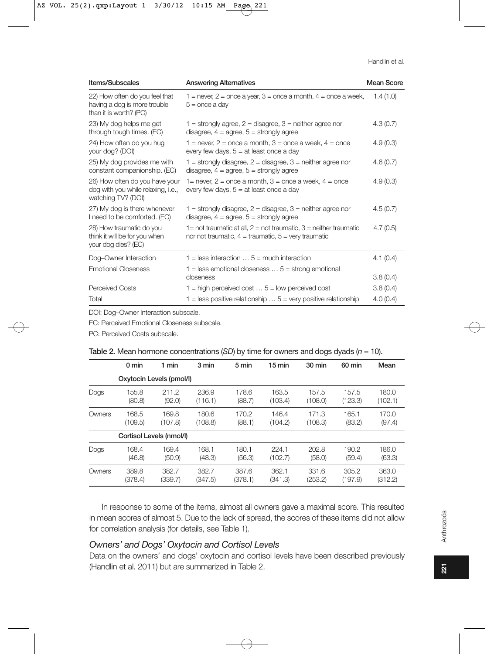| <b>Items/Subscales</b>                                                                     | <b>Answering Alternatives</b>                                                                                                      | <b>Mean Score</b> |  |
|--------------------------------------------------------------------------------------------|------------------------------------------------------------------------------------------------------------------------------------|-------------------|--|
| 22) How often do you feel that<br>having a dog is more trouble<br>than it is worth? (PC)   | 1 = never, 2 = once a year, 3 = once a month, $4$ = once a week,<br>$5 =$ once a day                                               | 1.4(1.0)          |  |
| 23) My dog helps me get<br>through tough times. (EC)                                       | 1 = strongly agree, $2$ = disagree, $3$ = neither agree nor<br>disagree, $4 = \text{agree}$ , $5 = \text{strongly agree}$          | 4.3(0.7)          |  |
| 24) How often do you hug<br>your dog? (DOI)                                                | 1 = never, 2 = once a month, 3 = once a week, $4 =$ once<br>every few days, $5 = at$ least once a day                              | 4.9(0.3)          |  |
| 25) My dog provides me with<br>constant companionship. (EC)                                | 1 = strongly disagree, $2$ = disagree, $3$ = neither agree nor<br>disagree, $4 = \text{agree}$ , $5 = \text{strongly agree}$       | 4.6(0.7)          |  |
| 26) How often do you have your<br>dog with you while relaxing, i.e.,<br>watching TV? (DOI) | 1 = never, $2$ = once a month, $3$ = once a week, $4$ = once<br>every few days, $5 = at$ least once a day                          | 4.9(0.3)          |  |
| 27) My dog is there whenever<br>I need to be comforted. (EC)                               | $1 =$ strongly disagree, $2 =$ disagree, $3 =$ neither agree nor<br>disagree, $4 = \text{agree}$ , $5 = \text{strongly agree}$     | 4.5(0.7)          |  |
| 28) How traumatic do you<br>think it will be for you when<br>your dog dies? (EC)           | 1 = not traumatic at all, $2$ = not traumatic, $3$ = neither traumatic<br>nor not traumatic, $4 =$ traumatic, $5 =$ very traumatic | 4.7(0.5)          |  |
| Dog-Owner Interaction                                                                      | $1 =$ less interaction $\dots$ 5 = much interaction                                                                                | 4.1(0.4)          |  |
| <b>Emotional Closeness</b>                                                                 | $1 =$ less emotional closeness $5 =$ strong emotional<br>closeness                                                                 | 3.8(0.4)          |  |
| <b>Perceived Costs</b>                                                                     | $1 =$ high perceived cost $\dots$ 5 = low perceived cost                                                                           | 3.8(0.4)          |  |
| Total                                                                                      | $1 =$ less positive relationship $5 =$ very positive relationship                                                                  | 4.0(0.4)          |  |

DOI: Dog-Owner Interaction subscale.

EC: Perceived Emotional Closeness subscale.

PC: Perceived Costs subscale.

|        | $0 \text{ min}$ | 1 min                    | 3 min   | 5 min   | 15 min  | 30 min  | 60 min  | Mean    |
|--------|-----------------|--------------------------|---------|---------|---------|---------|---------|---------|
|        |                 | Oxytocin Levels (pmol/l) |         |         |         |         |         |         |
| Dogs   | 155.8           | 211.2                    | 236.9   | 178.6   | 163.5   | 157.5   | 157.5   | 180.0   |
|        | (80.8)          | (92.0)                   | (116.1) | (88.7)  | (103.4) | (108.0) | (123.3) | (102.1) |
| Owners | 168.5           | 169.8                    | 180.6   | 170.2   | 146.4   | 171.3   | 165.1   | 170.0   |
|        | (109.5)         | (107.8)                  | (108.8) | (88.1)  | (104.2) | (108.3) | (83.2)  | (97.4)  |
|        |                 | Cortisol Levels (nmol/l) |         |         |         |         |         |         |
| Dogs   | 168.4           | 169.4                    | 168.1   | 180.1   | 224.1   | 202.8   | 190.2   | 186.0   |
|        | (46.8)          | (50.9)                   | (48.3)  | (56.3)  | (102.7) | (58.0)  | (59.4)  | (63.3)  |
| Owners | 389.8           | 382.7                    | 382.7   | 387.6   | 362.1   | 331.6   | 305.2   | 363.0   |
|        | (378.4)         | (339.7)                  | (347.5) | (378.1) | (341.3) | (253.2) | (197.9) | (312.2) |

| <b>Table 2.</b> Mean hormone concentrations (SD) by time for owners and dogs dyads ( $n = 10$ ). |  |  |
|--------------------------------------------------------------------------------------------------|--|--|
|--------------------------------------------------------------------------------------------------|--|--|

In response to some of the items, almost all owners gave a maximal score. This resulted in mean scores of almost 5. Due to the lack of spread, the scores of these items did not allow for correlation analysis (for details, see Table 1).

# Owners' and Dogs' Oxytocin and Cortisol Levels

Data on the owners' and dogs' oxytocin and cortisol levels have been described previously (Handlin et al. 2011) but are summarized in Table 2.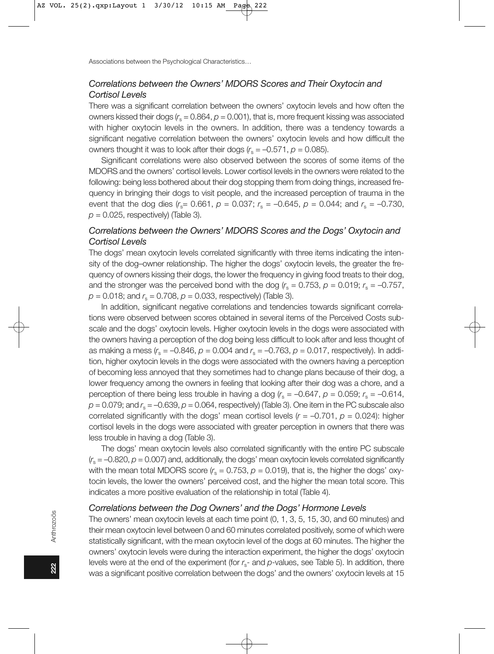# Correlations between the Owners' MDORS Scores and Their Oxytocin and Cortisol Levels

There was a significant correlation between the owners' oxytocin levels and how often the owners kissed their dogs  $(r<sub>e</sub> = 0.864, p = 0.001)$ , that is, more frequent kissing was associated with higher oxytocin levels in the owners. In addition, there was a tendency towards a significant negative correlation between the owners' oxytocin levels and how difficult the owners thought it was to look after their dogs  $(r<sub>s</sub> = -0.571, p = 0.085)$ .

Significant correlations were also observed between the scores of some items of the MDORS and the owners' cortisol levels. Lower cortisol levels in the owners were related to the following: being less bothered about their dog stopping them from doing things, increased frequency in bringing their dogs to visit people, and the increased perception of trauma in the event that the dog dies  $(r_s = 0.661, p = 0.037; r_s = -0.645, p = 0.044;$  and  $r_s = -0.730$ ,  $p = 0.025$ , respectively) (Table 3).

# Correlations between the Owners' MDORS Scores and the Dogs' Oxytocin and Cortisol Levels

The dogs' mean oxytocin levels correlated significantly with three items indicating the intensity of the dog-owner relationship. The higher the dogs' oxytocin levels, the greater the frequency of owners kissing their dogs, the lower the frequency in giving food treats to their dog, and the stronger was the perceived bond with the dog  $(r_s = 0.753, p = 0.019; r_s = -0.757,$  $p = 0.018$ ; and  $r_s = 0.708$ ,  $p = 0.033$ , respectively) (Table 3).

In addition, significant negative correlations and tendencies towards significant correlations were observed between scores obtained in several items of the Perceived Costs subscale and the dogs' oxytocin levels. Higher oxytocin levels in the dogs were associated with the owners having a perception of the dog being less difficult to look after and less thought of as making a mess  $(r_s = -0.846, p = 0.004$  and  $r_s = -0.763, p = 0.017$ , respectively). In addition, higher oxytocin levels in the dogs were associated with the owners having a perception of becoming less annoyed that they sometimes had to change plans because of their dog, a lower frequency among the owners in feeling that looking after their dog was a chore, and a perception of there being less trouble in having a dog  $r_s = -0.647$ ,  $p = 0.059$ ;  $r_s = -0.614$ ,  $p = 0.079$ ; and  $r_s = -0.639$ ,  $p = 0.064$ , respectively) (Table 3). One item in the PC subscale also correlated significantly with the dogs' mean cortisol levels  $(r = -0.701, p = 0.024)$ : higher cortisol levels in the dogs were associated with greater perception in owners that there was less trouble in having a dog (Table 3).

The dogs' mean oxytocin levels also correlated significantly with the entire PC subscale  $r_s = -0.820$ ,  $p = 0.007$ ) and, additionally, the dogs' mean oxytocin levels correlated significantly with the mean total MDORS score  $(r_s = 0.753, p = 0.019)$ , that is, the higher the dogs' oxytocin levels, the lower the owners' perceived cost, and the higher the mean total score. This indicates a more positive evaluation of the relationship in total (Table 4).

# Correlations between the Dog Owners' and the Dogs' Hormone Levels

The owners' mean oxytocin levels at each time point (0, 1, 3, 5, 15, 30, and 60 minutes) and their mean oxytocin level between 0 and 60 minutes correlated positively, some of which were statistically significant, with the mean oxytocin level of the dogs at 60 minutes. The higher the owners' oxytocin levels were during the interaction experiment, the higher the dogs' oxytocin levels were at the end of the experiment (for  $r_s$ - and  $p$ -values, see Table 5). In addition, there was a significant positive correlation between the dogs' and the owners' oxytocin levels at 15

222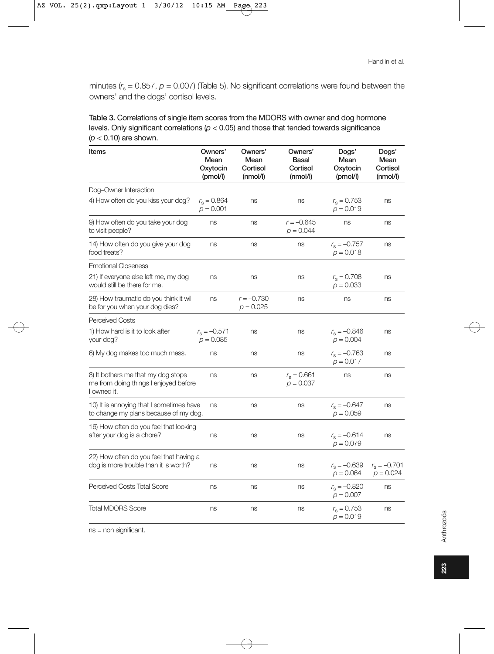minutes ( $r_s$  = 0.857,  $\rho$  = 0.007) (Table 5). No significant correlations were found between the owners' and the dogs' cortisol levels.

| Table 3. Correlations of single item scores from the MDORS with owner and dog hormone           |
|-------------------------------------------------------------------------------------------------|
| levels. Only significant correlations ( $p < 0.05$ ) and those that tended towards significance |
| ( $p < 0.10$ ) are shown.                                                                       |

| Items                                                                                      | Owners'<br>Mean<br>Oxytocin<br>(pmol/l) | Owners'<br>Mean<br>Cortisol<br>(mmol/l) | Owners'<br>Basal<br>Cortisol<br>(nmol/l) | Dogs'<br>Mean<br>Oxytocin<br>(pmol/l) | Dogs'<br>Mean<br>Cortisol<br>(nmol/l) |
|--------------------------------------------------------------------------------------------|-----------------------------------------|-----------------------------------------|------------------------------------------|---------------------------------------|---------------------------------------|
| Dog-Owner Interaction                                                                      |                                         |                                         |                                          |                                       |                                       |
| 4) How often do you kiss your dog?                                                         | $r_s = 0.864$<br>$p = 0.001$            | ns                                      | ns                                       | $r_s = 0.753$<br>$p = 0.019$          | ns                                    |
| 9) How often do you take your dog<br>to visit people?                                      | ns                                      | ns                                      | $r = -0.645$<br>$p = 0.044$              | ns                                    | ns                                    |
| 14) How often do you give your dog<br>food treats?                                         | ns                                      | ns                                      | ns                                       | $r_{\rm s} = -0.757$<br>$p = 0.018$   | ns                                    |
| <b>Emotional Closeness</b>                                                                 |                                         |                                         |                                          |                                       |                                       |
| 21) If everyone else left me, my dog<br>would still be there for me.                       | ns                                      | ns                                      | ns                                       | $r_{\rm s} = 0.708$<br>$p = 0.033$    | ns                                    |
| 28) How traumatic do you think it will<br>be for you when your dog dies?                   | ns                                      | $r = -0.730$<br>$p = 0.025$             | ns                                       | ns                                    | ns                                    |
| <b>Perceived Costs</b>                                                                     |                                         |                                         |                                          |                                       |                                       |
| 1) How hard is it to look after<br>your dog?                                               | $r_s = -0.571$<br>$p = 0.085$           | ns                                      | ns                                       | $r_s = -0.846$<br>$p = 0.004$         | ns                                    |
| 6) My dog makes too much mess.                                                             | ns                                      | ns                                      | ns                                       | $r_s = -0.763$<br>$p = 0.017$         | ns                                    |
| 8) It bothers me that my dog stops<br>me from doing things I enjoyed before<br>I owned it. | ns                                      | ns                                      | $r_s = 0.661$<br>$p = 0.037$             | ns                                    | ns                                    |
| 10) It is annoying that I sometimes have<br>to change my plans because of my dog.          | ns                                      | ns                                      | ns                                       | $r_{\rm s} = -0.647$<br>$p = 0.059$   | ns                                    |
| 16) How often do you feel that looking<br>after your dog is a chore?                       | ns                                      | ns                                      | ns                                       | $r_s = -0.614$<br>$p = 0.079$         | ns                                    |
| 22) How often do you feel that having a<br>dog is more trouble than it is worth?           | ns                                      | ns                                      | ns                                       | $r_{\rm s} = -0.639$<br>$p = 0.064$   | $r_s = -0.701$<br>$p = 0.024$         |
| Perceived Costs Total Score                                                                | ns                                      | ns                                      | ns                                       | $r_s = -0.820$<br>$p = 0.007$         | ns                                    |
| <b>Total MDORS Score</b>                                                                   | ns                                      | ns                                      | ns                                       | $r_s = 0.753$<br>$p = 0.019$          | ns                                    |

ns = non significant.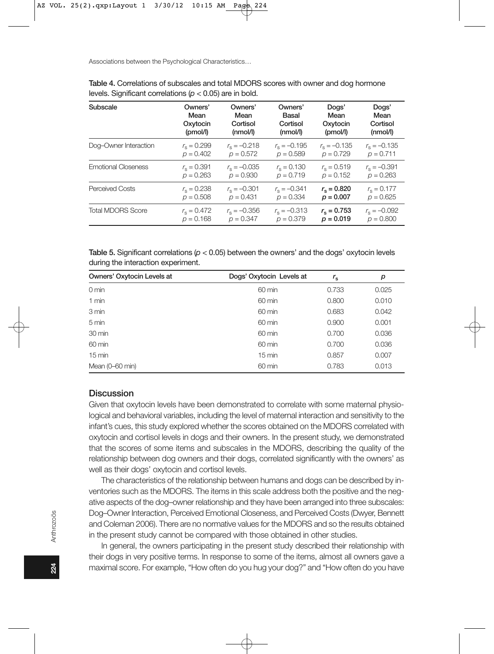| Subscale                   | Owners'             | Owners'              | Owners'              | Dogs'                | Dogs'                |
|----------------------------|---------------------|----------------------|----------------------|----------------------|----------------------|
|                            | Mean                | Mean                 | Basal                | Mean                 | Mean                 |
|                            | Oxytocin            | Cortisol             | Cortisol             | Oxytocin             | Cortisol             |
|                            | (pmol/l)            | (mmol/l)             | (mmol/l)             | (pmol/l)             | (mmol/l)             |
| Dog-Owner Interaction      | $r_{\rm e} = 0.299$ | $r_{\rm s} = -0.218$ | $r_{\rm s} = -0.195$ | $r_{\rm e} = -0.135$ | $r_{\rm s} = -0.135$ |
|                            | $p = 0.402$         | $p = 0.572$          | $p = 0.589$          | $p = 0.729$          | $p = 0.711$          |
| <b>Emotional Closeness</b> | $r_{\rm s} = 0.391$ | $r_{\rm e} = -0.035$ | $r_{\rm e} = 0.130$  | $r_{\rm s} = 0.519$  | $r_{\rm s} = -0.391$ |
|                            | $p = 0.263$         | $p = 0.930$          | $p = 0.719$          | $p = 0.152$          | $p = 0.263$          |
| <b>Perceived Costs</b>     | $r_{\rm e} = 0.238$ | $r_{\rm s} = -0.301$ | $r_{\rm s} = -0.341$ | $r_{\rm s} = 0.820$  | $r_{\rm s} = 0.177$  |
|                            | $p = 0.508$         | $p = 0.431$          | $p = 0.334$          | $p = 0.007$          | $p = 0.625$          |
| <b>Total MDORS Score</b>   | $r_{\rm e} = 0.472$ | $r_{\rm e} = -0.356$ | $r_{\rm e} = -0.313$ | $r_{\rm s} = 0.753$  | $r_{\rm e} = -0.092$ |
|                            | $p = 0.168$         | $p = 0.347$          | $p = 0.379$          | $p = 0.019$          | $p = 0.800$          |

| Table 4. Correlations of subscales and total MDORS scores with owner and dog hormone |  |  |  |  |
|--------------------------------------------------------------------------------------|--|--|--|--|
| levels. Significant correlations ( $p < 0.05$ ) are in bold.                         |  |  |  |  |

Table 5. Significant correlations ( $p < 0.05$ ) between the owners' and the dogs' oxytocin levels during the interaction experiment.

| Owners' Oxytocin Levels at | Dogs' Oxytocin Levels at | $r_{\rm s}$ | р     |
|----------------------------|--------------------------|-------------|-------|
| $0 \text{ min}$            | 60 min                   | 0.733       | 0.025 |
| $1$ min                    | 60 min                   | 0.800       | 0.010 |
| 3 min                      | 60 min                   | 0.683       | 0.042 |
| 5 min                      | 60 min                   | 0.900       | 0.001 |
| 30 min                     | 60 min                   | 0.700       | 0.036 |
| 60 min                     | 60 min                   | 0.700       | 0.036 |
| $15 \text{ min}$           | $15 \text{ min}$         | 0.857       | 0.007 |
| Mean (0–60 min)            | 60 min                   | 0.783       | 0.013 |

# **Discussion**

Given that oxytocin levels have been demonstrated to correlate with some maternal physiological and behavioral variables, including the level of maternal interaction and sensitivity to the infant's cues, this study explored whether the scores obtained on the MDORS correlated with oxytocin and cortisol levels in dogs and their owners. In the present study, we demonstrated that the scores of some items and subscales in the MDORS, describing the quality of the relationship between dog owners and their dogs, correlated significantly with the owners' as well as their dogs' oxytocin and cortisol levels.

The characteristics of the relationship between humans and dogs can be described by inventories such as the MDORS. The items in this scale address both the positive and the negative aspects of the dog-owner relationship and they have been arranged into three subscales: Dog-Owner Interaction, Perceived Emotional Closeness, and Perceived Costs (Dwyer, Bennett and Coleman 2006). There are no normative values for the MDORS and so the results obtained in the present study cannot be compared with those obtained in other studies.

In general, the owners participating in the present study described their relationship with their dogs in very positive terms. In response to some of the items, almost all owners gave a maximal score. For example, "How often do you hug your dog?" and "How often do you have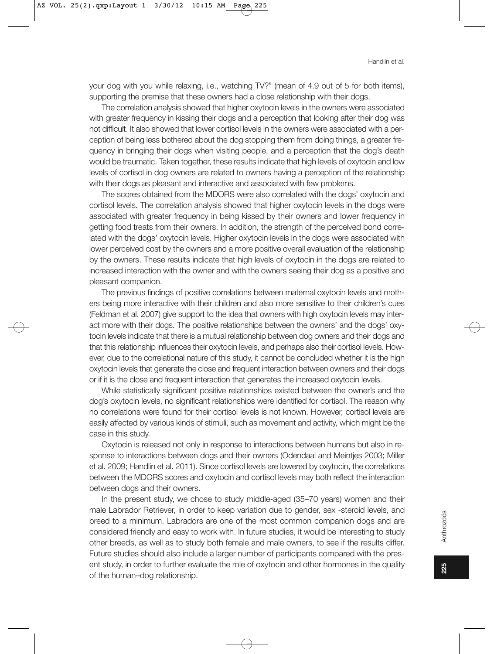your dog with you while relaxing, i.e., watching TV?" (mean of 4.9 out of 5 for both items), supporting the premise that these owners had a close relationship with their dogs.

The correlation analysis showed that higher oxytocin levels in the owners were associated with greater frequency in kissing their dogs and a perception that looking after their dog was not difficult. It also showed that lower cortisol levels in the owners were associated with a perception of being less bothered about the dog stopping them from doing things, a greater frequency in bringing their dogs when visiting people, and a perception that the dog's death would be traumatic. Taken together, these results indicate that high levels of oxytocin and low levels of cortisol in dog owners are related to owners having a perception of the relationship with their dogs as pleasant and interactive and associated with few problems.

The scores obtained from the MDORS were also correlated with the dogs' oxytocin and cortisol levels. The correlation analysis showed that higher oxytocin levels in the dogs were associated with greater frequency in being kissed by their owners and lower frequency in getting food treats from their owners. In addition, the strength of the perceived bond correlated with the dogs' oxytocin levels. Higher oxytocin levels in the dogs were associated with lower perceived cost by the owners and a more positive overall evaluation of the relationship by the owners. These results indicate that high levels of oxytocin in the dogs are related to increased interaction with the owner and with the owners seeing their dog as a positive and pleasant companion.

The previous findings of positive correlations between maternal oxytocin levels and mothers being more interactive with their children and also more sensitive to their children's cues (Feldman et al. 2007) give support to the idea that owners with high oxytocin levels may interact more with their dogs. The positive relationships between the owners' and the dogs' oxytocin levels indicate that there is a mutual relationship between dog owners and their dogs and that this relationship influences their oxytocin levels, and perhaps also their cortisol levels. However, due to the correlational nature of this study, it cannot be concluded whether it is the high oxytocin levels that generate the close and frequent interaction between owners and their dogs or if it is the close and frequent interaction that generates the increased oxytocin levels.

While statistically significant positive relationships existed between the owner's and the dog's oxytocin levels, no significant relationships were identified for cortisol. The reason why no correlations were found for their cortisol levels is not known. However, cortisol levels are easily affected by various kinds of stimuli, such as movement and activity, which might be the case in this study.

Oxytocin is released not only in response to interactions between humans but also in response to interactions between dogs and their owners (Odendaal and Meintjes 2003; Miller et al. 2009; Handlin et al. 2011). Since cortisol levels are lowered by oxytocin, the correlations between the MDORS scores and oxytocin and cortisol levels may both reflect the interaction between dogs and their owners.

In the present study, we chose to study middle-aged (35-70 years) women and their male Labrador Retriever, in order to keep variation due to gender, sex -steroid levels, and breed to a minimum. Labradors are one of the most common companion dogs and are considered friendly and easy to work with. In future studies, it would be interesting to study other breeds, as well as to study both female and male owners, to see if the results differ. Future studies should also include a larger number of participants compared with the present study, in order to further evaluate the role of oxytocin and other hormones in the quality of the human-dog relationship.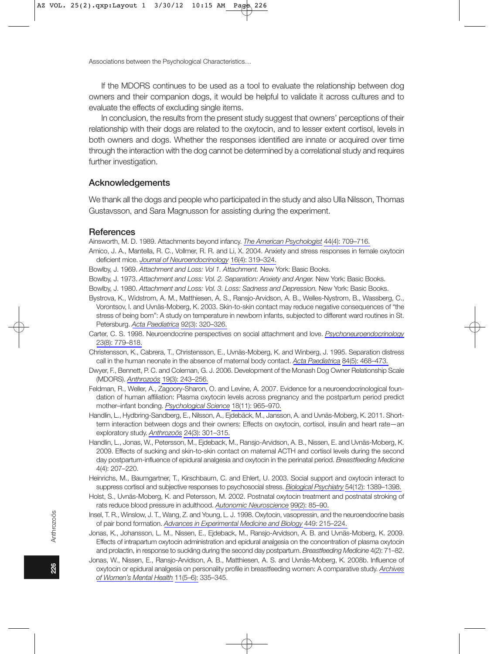If the MDORS continues to be used as a tool to evaluate the relationship between dog owners and their companion dogs, it would be helpful to validate it across cultures and to evaluate the effects of excluding single items.

In conclusion, the results from the present study suggest that owners' perceptions of their relationship with their dogs are related to the oxytocin, and to lesser extent cortisol, levels in both owners and dogs. Whether the responses identified are innate or acquired over time through the interaction with the dog cannot be determined by a correlational study and requires further investigation.

# Acknowledgements

We thank all the dogs and people who participated in the study and also Ulla Nilsson, Thomas Gustavsson, and Sara Magnusson for assisting during the experiment.

#### References

Ainsworth, M. D. 1989. Attachments beyond infancy. The American Psychologist 44(4): 709-716.

- Amico, J. A., Mantella, R. C., Vollmer, R. R. and Li, X. 2004. Anxiety and stress responses in female oxytocin deficient mice. Journal of Neuroendocrinology 16(4): 319-324.
- Bowlby, J. 1969. Attachment and Loss: Vol 1. Attachment. New York: Basic Books.
- Bowlby, J. 1973. Attachment and Loss: Vol. 2. Separation: Anxiety and Anger. New York: Basic Books.
- Bowlby, J. 1980. Attachment and Loss: Vol. 3. Loss: Sadness and Depression. New York: Basic Books.
- Bystrova, K., Widstrom, A. M., Matthiesen, A. S., Ransjo-Arvidson, A. B., Welles-Nystrom, B., Wassberg, C., Vorontsov, I. and Uvnäs-Moberg, K. 2003. Skin-to-skin contact may reduce negative consequences of "the stress of being born": A study on temperature in newborn infants, subjected to different ward routines in St. Petersburg. Acta Paediatrica 92(3): 320-326.
- Carter, C. S. 1998. Neuroendocrine perspectives on social attachment and love. Psychoneuroendocrinology 23(8): 779-818.
- Christensson, K., Cabrera, T., Christensson, E., Uvnäs-Moberg, K. and Winberg, J. 1995. Separation distress call in the human neonate in the absence of maternal body contact. Acta Paediatrica 84(5): 468-473.
- Dwyer, F., Bennett, P. C. and Coleman, G. J. 2006. Development of the Monash Dog Owner Relationship Scale (MDORS). Anthrozoös 19(3): 243-256.
- Feldman, R., Weller, A., Zagoory-Sharon, O. and Levine, A. 2007. Evidence for a neuroendocrinological foundation of human affiliation: Plasma oxytocin levels across pregnancy and the postpartum period predict mother-infant bonding. Psychological Science 18(11): 965-970.
- Handlin, L., Hydbring-Sandberg, E., Nilsson, A., Ejdebäck, M., Jansson, A. and Uvnäs-Moberg, K. 2011. Shortterm interaction between dogs and their owners: Effects on oxytocin, cortisol, insulin and heart rate—an exploratory study. Anthrozoös 24(3): 301-315.
- Handlin, L., Jonas, W., Petersson, M., Ejdeback, M., Ransjo-Arvidson, A. B., Nissen, E. and Uvnäs-Moberg, K. 2009. Effects of sucking and skin-to-skin contact on maternal ACTH and cortisol levels during the second day postpartum-influence of epidural analgesia and oxytocin in the perinatal period. Breastfeeding Medicine 4(4): 207-220.
- Heinrichs, M., Baumgartner, T., Kirschbaum, C. and Ehlert, U. 2003. Social support and oxytocin interact to suppress cortisol and subjective responses to psychosocial stress. Biological Psychiatry 54(12): 1389-1398.
- Holst, S., Uvnäs-Moberg, K. and Petersson, M. 2002. Postnatal oxytocin treatment and postnatal stroking of rats reduce blood pressure in adulthood. Autonomic Neuroscience 99(2): 85-90.
- Insel, T. R., Winslow, J. T., Wang, Z. and Young, L. J. 1998. Oxytocin, vasopressin, and the neuroendocrine basis of pair bond formation. Advances in Experimental Medicine and Biology 449: 215-224.
- Jonas, K., Johansson, L. M., Nissen, E., Ejdeback, M., Ransjo-Arvidson, A. B. and Uvnäs-Moberg, K. 2009. Effects of intrapartum oxytocin administration and epidural analgesia on the concentration of plasma oxytocin and prolactin, in response to suckling during the second day postpartum. Breastfeeding Medicine 4(2): 71-82.
- Jonas, W., Nissen, E., Ransjo-Arvidson, A. B., Matthiesen, A. S. and Uvnäs-Moberg, K. 2008b. Influence of oxytocin or epidural analgesia on personality profile in breastfeeding women: A comparative study. Archives of Women's Mental Health 11(5-6): 335-345.

226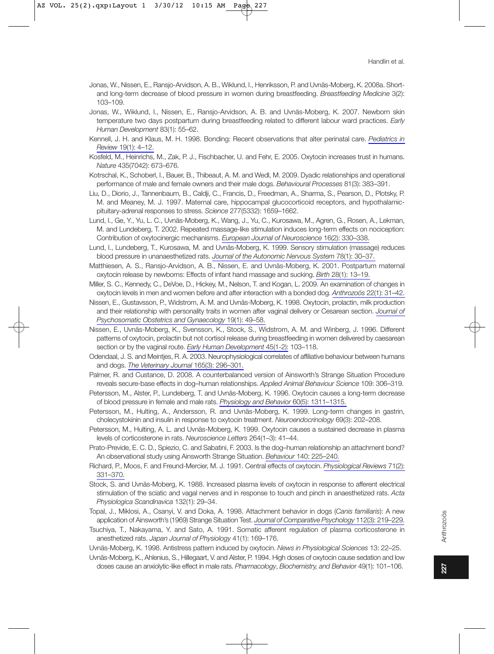- Jonas, W., Nissen, E., Ransjo-Arvidson, A. B., Wiklund, I., Henriksson, P. and Uvnäs-Moberg, K. 2008a. Shortand long-term decrease of blood pressure in women during breastfeeding. Breastfeeding Medicine 3(2): 103-109.
- Jonas, W., Wiklund, I., Nissen, E., Ransio-Arvidson, A. B. and Uvnäs-Moberg, K. 2007, Newborn skin temperature two days postpartum during breastfeeding related to different labour ward practices. Early Human Development 83(1): 55-62.
- Kennell, J. H. and Klaus, M. H. 1998. Bonding: Recent observations that alter perinatal care. Pediatrics in Review 19(1): 4-12.
- Kosfeld, M., Heinrichs, M., Zak, P. J., Fischbacher, U. and Fehr, E. 2005. Oxytocin increases trust in humans. Nature 435(7042): 673-676.
- Kotrschal, K., Schoberl, I., Bauer, B., Thibeaut, A. M. and Wedl, M. 2009. Dyadic relationships and operational performance of male and female owners and their male dogs. Behavioural Processes 81(3): 383-391.
- Liu, D., Diorio, J., Tannenbaum, B., Caldji, C., Francis, D., Freedman, A., Sharma, S., Pearson, D., Plotsky, P. M. and Meaney, M. J. 1997. Maternal care, hippocampal glucocorticoid receptors, and hypothalamicpituitary-adrenal responses to stress. Science 277(5332): 1659-1662.
- Lund, I., Ge, Y., Yu, L. C., Uvnäs-Moberg, K., Wang, J., Yu, C., Kurosawa, M., Agren, G., Rosen, A., Lekman, M. and Lundeberg, T. 2002. Repeated massage-like stimulation induces long-term effects on nociception: Contribution of oxytocinergic mechanisms. European Journal of Neuroscience 16(2): 330-338.
- Lund, I., Lundeberg, T., Kurosawa, M. and Uvnäs-Moberg, K. 1999. Sensory stimulation (massage) reduces blood pressure in unanaesthetized rats. Journal of the Autonomic Nervous System 78(1): 30-37.
- Matthiesen, A. S., Ransjo-Arvidson, A. B., Nissen, E. and Uvnäs-Moberg, K. 2001. Postpartum maternal oxytocin release by newborns: Effects of infant hand massage and sucking. Birth 28(1): 13-19.
- Miller, S. C., Kennedy, C., DeVoe, D., Hickey, M., Nelson, T. and Kogan, L. 2009. An examination of changes in oxytocin levels in men and women before and after interaction with a bonded dog. Anthrozoös 22(1): 31-42.
- Nissen, E., Gustavsson, P., Widstrom, A. M. and Uvnäs-Moberg, K. 1998. Oxytocin, prolactin, milk production and their relationship with personality traits in women after vaginal delivery or Cesarean section. Journal of Psychosomatic Obstetrics and Gynaecology 19(1): 49-58.
- Nissen, E., Uvnäs-Moberg, K., Svensson, K., Stock, S., Widstrom, A. M. and Winberg, J. 1996. Different patterns of oxytocin, prolactin but not cortisol release during breastfeeding in women delivered by caesarean section or by the vaginal route. Early Human Development 45(1-2): 103-118.
- Odendaal, J. S. and Meinties, R. A. 2003. Neurophysiological correlates of affiliative behaviour between humans and dogs. The Veterinary Journal 165(3): 296-301.
- Palmer, R. and Custance, D. 2008. A counterbalanced version of Ainsworth's Strange Situation Procedure reveals secure-base effects in dog-human relationships. Applied Animal Behaviour Science 109: 306-319.
- Petersson, M., Alster, P., Lundeberg, T. and Uvnäs-Moberg, K. 1996. Oxytocin causes a long-term decrease of blood pressure in female and male rats. Physiology and Behavior 60(5): 1311-1315.
- Petersson, M., Hulting, A., Andersson, R. and Uvnäs-Moberg, K. 1999. Long-term changes in gastrin, cholecystokinin and insulin in response to oxytocin treatment. Neuroendocrinology 69(3): 202-208.
- Petersson, M., Hulting, A. L. and Uvnäs-Moberg, K. 1999. Oxytocin causes a sustained decrease in plasma levels of corticosterone in rats. Neuroscience Letters 264(1-3): 41-44.
- Prato-Previde, E. C. D., Spiezio, C. and Sabatini, F. 2003. Is the dog-human relationship an attachment bond? An observational study using Ainsworth Strange Situation. Behaviour 140: 225-240.
- Richard, P., Moos, F. and Freund-Mercier, M. J. 1991. Central effects of oxytocin. Physiological Reviews 71(2): 331-370.
- Stock, S. and Uvnäs-Moberg, K. 1988. Increased plasma levels of oxytocin in response to afferent electrical stimulation of the sciatic and vagal nerves and in response to touch and pinch in anaesthetized rats. Acta Physiologica Scandinavica 132(1): 29-34.
- Topal, J., Miklosi, A., Csanyi, V. and Doka, A. 1998. Attachment behavior in dogs (Canis familiaris): A new application of Ainsworth's (1969) Strange Situation Test. Journal of Comparative Psychology 112(3): 219-229.
- Tsuchiya, T., Nakayama, Y. and Sato, A. 1991. Somatic afferent regulation of plasma corticosterone in anesthetized rats. Japan Journal of Physiology 41(1): 169-176.
- Uvnäs-Moberg, K. 1998. Antistress pattern induced by oxytocin. News in Physiological Sciences 13: 22-25.
- Uvnäs-Moberg, K., Ahlenius, S., Hillegaart, V. and Alster, P. 1994. High doses of oxytocin cause sedation and low doses cause an anxiolytic-like effect in male rats. Pharmacology, Biochemistry, and Behavior 49(1): 101-106.